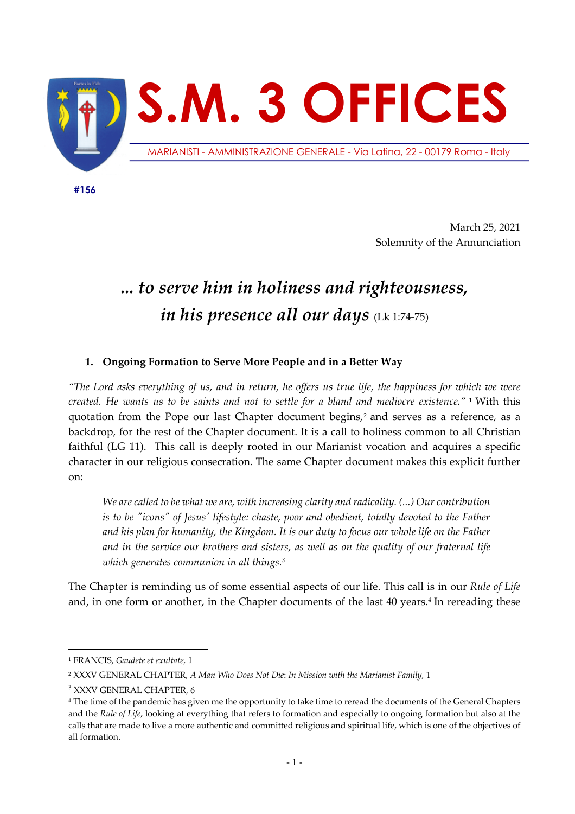

 **#156**

March 25, 2021 Solemnity of the Annunciation

# *... to serve him in holiness and righteousness, in his presence all our days* (Lk 1:74-75)

# **1. Ongoing Formation to Serve More People and in a Better Way**

*"The Lord asks everything of us, and in return, he offers us true life, the happiness for which we were created. He wants us to be saints and not to settle for a bland and mediocre existence."* <sup>1</sup> With this quotation from the Pope our last Chapter document begins,<sup>2</sup> and serves as a reference, as a backdrop, for the rest of the Chapter document. It is a call to holiness common to all Christian faithful (LG 11). This call is deeply rooted in our Marianist vocation and acquires a specific character in our religious consecration. The same Chapter document makes this explicit further on:

*We are called to be what we are, with increasing clarity and radicality. (...) Our contribution is to be "icons" of Jesus' lifestyle: chaste, poor and obedient, totally devoted to the Father and his plan for humanity, the Kingdom. It is our duty to focus our whole life on the Father and in the service our brothers and sisters, as well as on the quality of our fraternal life which generates communion in all things.3*

The Chapter is reminding us of some essential aspects of our life. This call is in our *Rule of Life* and, in one form or another, in the Chapter documents of the last 40 years. <sup>4</sup> In rereading these

<sup>1</sup> FRANCIS, *Gaudete et exultate,* 1

<sup>2</sup> XXXV GENERAL CHAPTER, *A Man Who Does Not Die*: *In Mission with the Marianist Family,* 1

<sup>&</sup>lt;sup>3</sup> XXXV GENERAL CHAPTER, 6

<sup>4</sup> The time of the pandemic has given me the opportunity to take time to reread the documents of the General Chapters and the *Rule of Life*, looking at everything that refers to formation and especially to ongoing formation but also at the calls that are made to live a more authentic and committed religious and spiritual life, which is one of the objectives of all formation.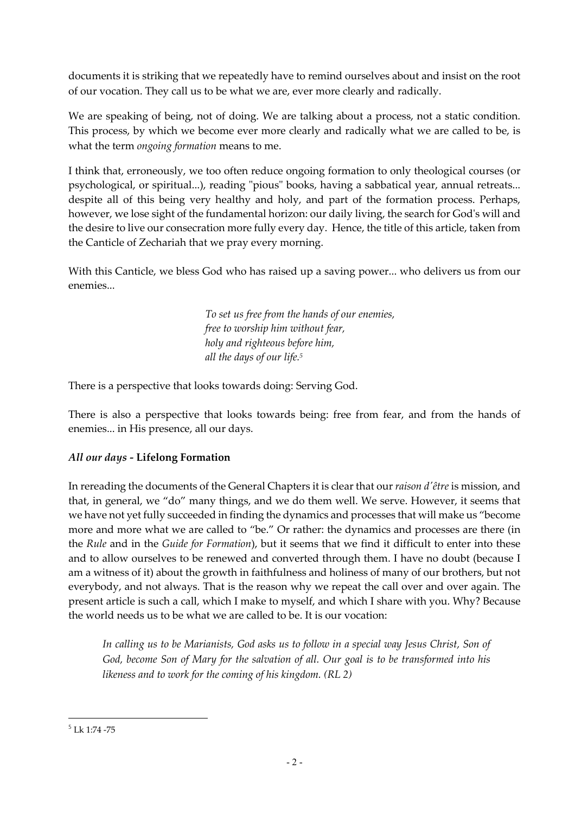documents it is striking that we repeatedly have to remind ourselves about and insist on the root of our vocation. They call us to be what we are, ever more clearly and radically.

We are speaking of being, not of doing. We are talking about a process, not a static condition. This process, by which we become ever more clearly and radically what we are called to be, is what the term *ongoing formation* means to me.

I think that, erroneously, we too often reduce ongoing formation to only theological courses (or psychological, or spiritual...), reading "pious" books, having a sabbatical year, annual retreats... despite all of this being very healthy and holy, and part of the formation process. Perhaps, however, we lose sight of the fundamental horizon: our daily living, the search for God's will and the desire to live our consecration more fully every day. Hence, the title of this article, taken from the Canticle of Zechariah that we pray every morning.

With this Canticle, we bless God who has raised up a saving power... who delivers us from our enemies...

> *To set us free from the hands of our enemies, free to worship him without fear, holy and righteous before him, all the days of our life. 5*

There is a perspective that looks towards doing: Serving God.

There is also a perspective that looks towards being: free from fear, and from the hands of enemies... in His presence, all our days.

# *All our days -* **Lifelong Formation**

In rereading the documents of the General Chapters it is clear that our *raison d'être* is mission, and that, in general, we "do" many things, and we do them well. We serve. However, it seems that we have not yet fully succeeded in finding the dynamics and processes that will make us "become more and more what we are called to "be." Or rather: the dynamics and processes are there (in the *Rule* and in the *Guide for Formation*), but it seems that we find it difficult to enter into these and to allow ourselves to be renewed and converted through them. I have no doubt (because I am a witness of it) about the growth in faithfulness and holiness of many of our brothers, but not everybody, and not always. That is the reason why we repeat the call over and over again. The present article is such a call, which I make to myself, and which I share with you. Why? Because the world needs us to be what we are called to be. It is our vocation:

*In calling us to be Marianists, God asks us to follow in a special way Jesus Christ, Son of God, become Son of Mary for the salvation of all. Our goal is to be transformed into his likeness and to work for the coming of his kingdom. (RL 2)*

<sup>5</sup> Lk 1:74 -75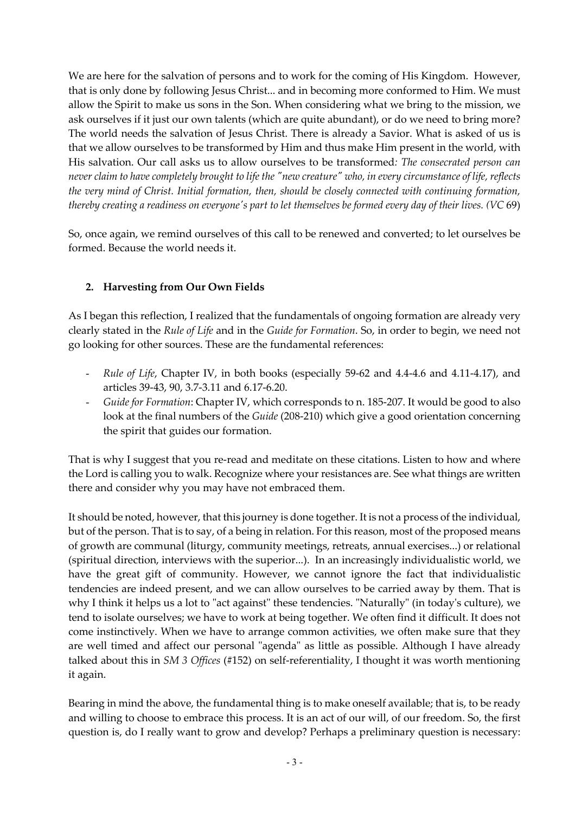We are here for the salvation of persons and to work for the coming of His Kingdom. However, that is only done by following Jesus Christ... and in becoming more conformed to Him. We must allow the Spirit to make us sons in the Son. When considering what we bring to the mission, we ask ourselves if it just our own talents (which are quite abundant), or do we need to bring more? The world needs the salvation of Jesus Christ. There is already a Savior. What is asked of us is that we allow ourselves to be transformed by Him and thus make Him present in the world, with His salvation. Our call asks us to allow ourselves to be transformed*: The consecrated person can never claim to have completely brought to life the "new creature" who, in every circumstance of life, reflects the very mind of Christ. Initial formation, then, should be closely connected with continuing formation, thereby creating a readiness on everyone's part to let themselves be formed every day of their lives. (VC* 69)

So, once again, we remind ourselves of this call to be renewed and converted; to let ourselves be formed. Because the world needs it.

## **2. Harvesting from Our Own Fields**

As I began this reflection, I realized that the fundamentals of ongoing formation are already very clearly stated in the *Rule of Life* and in the *Guide for Formation*. So, in order to begin, we need not go looking for other sources. These are the fundamental references:

- *Rule of Life*, Chapter IV, in both books (especially 59-62 and 4.4-4.6 and 4.11-4.17), and articles 39-43, 90, 3.7-3.11 and 6.17-6.20.
- *Guide for Formation*: Chapter IV, which corresponds to n. 185-207. It would be good to also look at the final numbers of the *Guide* (208-210) which give a good orientation concerning the spirit that guides our formation.

That is why I suggest that you re-read and meditate on these citations. Listen to how and where the Lord is calling you to walk. Recognize where your resistances are. See what things are written there and consider why you may have not embraced them.

It should be noted, however, that this journey is done together. It is not a process of the individual, but of the person. That is to say, of a being in relation. For this reason, most of the proposed means of growth are communal (liturgy, community meetings, retreats, annual exercises...) or relational (spiritual direction, interviews with the superior...). In an increasingly individualistic world, we have the great gift of community. However, we cannot ignore the fact that individualistic tendencies are indeed present, and we can allow ourselves to be carried away by them. That is why I think it helps us a lot to "act against" these tendencies. "Naturally" (in today's culture), we tend to isolate ourselves; we have to work at being together. We often find it difficult. It does not come instinctively. When we have to arrange common activities, we often make sure that they are well timed and affect our personal "agenda" as little as possible. Although I have already talked about this in *SM 3 Offices* (#152) on self-referentiality, I thought it was worth mentioning it again.

Bearing in mind the above, the fundamental thing is to make oneself available; that is, to be ready and willing to choose to embrace this process. It is an act of our will, of our freedom. So, the first question is, do I really want to grow and develop? Perhaps a preliminary question is necessary: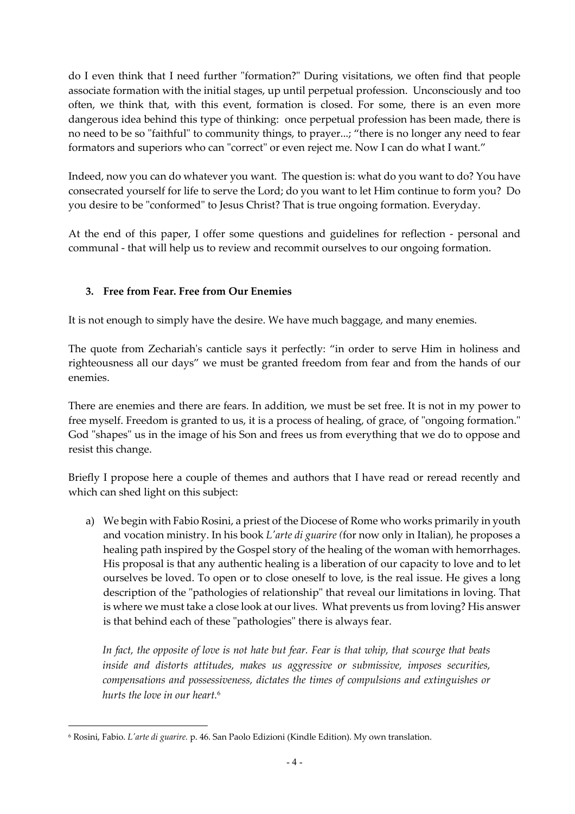do I even think that I need further "formation?" During visitations, we often find that people associate formation with the initial stages, up until perpetual profession. Unconsciously and too often, we think that, with this event, formation is closed. For some, there is an even more dangerous idea behind this type of thinking: once perpetual profession has been made, there is no need to be so "faithful" to community things, to prayer...; "there is no longer any need to fear formators and superiors who can "correct" or even reject me. Now I can do what I want."

Indeed, now you can do whatever you want. The question is: what do you want to do? You have consecrated yourself for life to serve the Lord; do you want to let Him continue to form you? Do you desire to be "conformed" to Jesus Christ? That is true ongoing formation. Everyday.

At the end of this paper, I offer some questions and guidelines for reflection - personal and communal - that will help us to review and recommit ourselves to our ongoing formation.

## **3. Free from Fear. Free from Our Enemies**

It is not enough to simply have the desire. We have much baggage, and many enemies.

The quote from Zechariah's canticle says it perfectly: "in order to serve Him in holiness and righteousness all our days" we must be granted freedom from fear and from the hands of our enemies.

There are enemies and there are fears. In addition, we must be set free. It is not in my power to free myself. Freedom is granted to us, it is a process of healing, of grace, of "ongoing formation." God "shapes" us in the image of his Son and frees us from everything that we do to oppose and resist this change.

Briefly I propose here a couple of themes and authors that I have read or reread recently and which can shed light on this subject:

a) We begin with Fabio Rosini, a priest of the Diocese of Rome who works primarily in youth and vocation ministry. In his book *L'arte di guarire (*for now only in Italian), he proposes a healing path inspired by the Gospel story of the healing of the woman with hemorrhages. His proposal is that any authentic healing is a liberation of our capacity to love and to let ourselves be loved. To open or to close oneself to love, is the real issue. He gives a long description of the "pathologies of relationship" that reveal our limitations in loving. That is where we must take a close look at our lives. What prevents us from loving? His answer is that behind each of these "pathologies" there is always fear.

*In fact, the opposite of love is not hate but fear. Fear is that whip, that scourge that beats inside and distorts attitudes, makes us aggressive or submissive, imposes securities, compensations and possessiveness, dictates the times of compulsions and extinguishes or hurts the love in our heart.* 6

<sup>6</sup> Rosini, Fabio. *L'arte di guarire.* p. 46. San Paolo Edizioni (Kindle Edition). My own translation.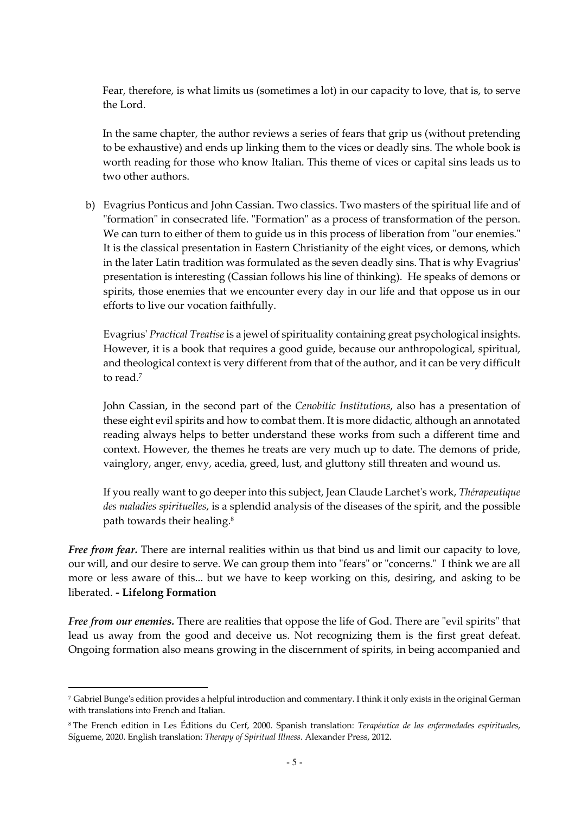Fear, therefore, is what limits us (sometimes a lot) in our capacity to love, that is, to serve the Lord.

In the same chapter, the author reviews a series of fears that grip us (without pretending to be exhaustive) and ends up linking them to the vices or deadly sins. The whole book is worth reading for those who know Italian. This theme of vices or capital sins leads us to two other authors.

b) Evagrius Ponticus and John Cassian. Two classics. Two masters of the spiritual life and of "formation" in consecrated life. "Formation" as a process of transformation of the person. We can turn to either of them to guide us in this process of liberation from "our enemies." It is the classical presentation in Eastern Christianity of the eight vices, or demons, which in the later Latin tradition was formulated as the seven deadly sins. That is why Evagrius' presentation is interesting (Cassian follows his line of thinking). He speaks of demons or spirits, those enemies that we encounter every day in our life and that oppose us in our efforts to live our vocation faithfully.

Evagrius' *Practical Treatise* is a jewel of spirituality containing great psychological insights. However, it is a book that requires a good guide, because our anthropological, spiritual, and theological context is very different from that of the author, and it can be very difficult to read. 7

John Cassian, in the second part of the *Cenobitic Institutions*, also has a presentation of these eight evil spirits and how to combat them. It is more didactic, although an annotated reading always helps to better understand these works from such a different time and context. However, the themes he treats are very much up to date. The demons of pride, vainglory, anger, envy, acedia, greed, lust, and gluttony still threaten and wound us.

If you really want to go deeper into this subject, Jean Claude Larchet's work, *Thérapeutique des maladies spirituelles*, is a splendid analysis of the diseases of the spirit, and the possible path towards their healing. 8

*Free from fear.* There are internal realities within us that bind us and limit our capacity to love, our will, and our desire to serve. We can group them into "fears" or "concerns." I think we are all more or less aware of this... but we have to keep working on this, desiring, and asking to be liberated. *-* **Lifelong Formation**

*Free from our enemies.* There are realities that oppose the life of God. There are "evil spirits" that lead us away from the good and deceive us. Not recognizing them is the first great defeat. Ongoing formation also means growing in the discernment of spirits, in being accompanied and

<sup>7</sup> Gabriel Bunge's edition provides a helpful introduction and commentary. I think it only exists in the original German with translations into French and Italian.

<sup>8</sup> The French edition in Les Éditions du Cerf, 2000. Spanish translation: *Terapéutica de las enfermedades espirituales*, Sígueme, 2020. English translation: *Therapy of Spiritual Illness*. Alexander Press, 2012.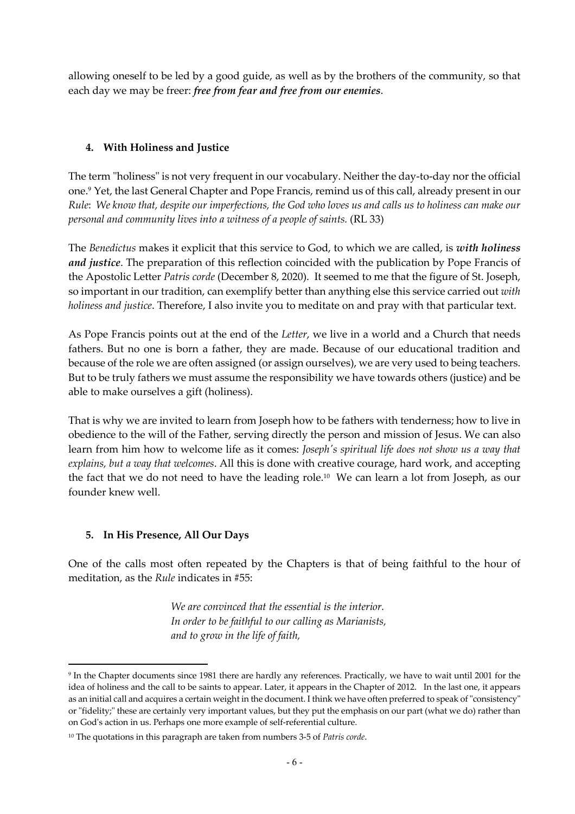allowing oneself to be led by a good guide, as well as by the brothers of the community, so that each day we may be freer: *free from fear and free from our enemies*.

### **4. With Holiness and Justice**

The term "holiness" is not very frequent in our vocabulary. Neither the day-to-day nor the official one. <sup>9</sup> Yet, the last General Chapter and Pope Francis, remind us of this call, already present in our *Rule*: *We know that, despite our imperfections, the God who loves us and calls us to holiness can make our personal and community lives into a witness of a people of saints.* (RL 33)

The *Benedictus* makes it explicit that this service to God, to which we are called, is *with holiness and justice*. The preparation of this reflection coincided with the publication by Pope Francis of the Apostolic Letter *Patris corde* (December 8, 2020). It seemed to me that the figure of St. Joseph, so important in our tradition, can exemplify better than anything else this service carried out *with holiness and justice*. Therefore, I also invite you to meditate on and pray with that particular text.

As Pope Francis points out at the end of the *Letter*, we live in a world and a Church that needs fathers. But no one is born a father, they are made. Because of our educational tradition and because of the role we are often assigned (or assign ourselves), we are very used to being teachers. But to be truly fathers we must assume the responsibility we have towards others (justice) and be able to make ourselves a gift (holiness).

That is why we are invited to learn from Joseph how to be fathers with tenderness; how to live in obedience to the will of the Father, serving directly the person and mission of Jesus. We can also learn from him how to welcome life as it comes: *Joseph's spiritual life does not show us a way that explains, but a way that welcomes*. All this is done with creative courage, hard work, and accepting the fact that we do not need to have the leading role. <sup>10</sup> We can learn a lot from Joseph, as our founder knew well.

#### **5. In His Presence, All Our Days**

One of the calls most often repeated by the Chapters is that of being faithful to the hour of meditation, as the *Rule* indicates in #55:

> *We are convinced that the essential is the interior. In order to be faithful to our calling as Marianists, and to grow in the life of faith,*

<sup>9</sup> In the Chapter documents since 1981 there are hardly any references. Practically, we have to wait until 2001 for the idea of holiness and the call to be saints to appear. Later, it appears in the Chapter of 2012. In the last one, it appears as an initial call and acquires a certain weight in the document. I think we have often preferred to speak of "consistency" or "fidelity;" these are certainly very important values, but they put the emphasis on our part (what we do) rather than on God's action in us. Perhaps one more example of self-referential culture.

<sup>10</sup> The quotations in this paragraph are taken from numbers 3-5 of *Patris corde*.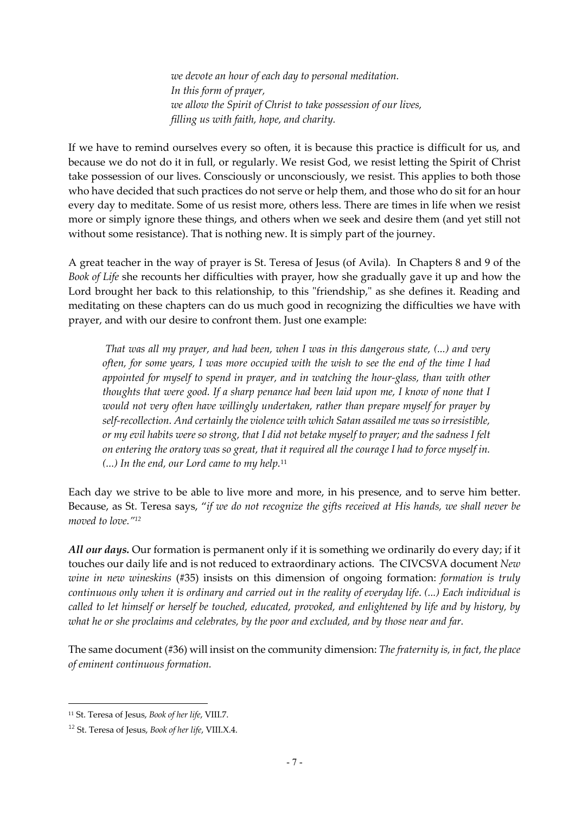*we devote an hour of each day to personal meditation. In this form of prayer, we allow the Spirit of Christ to take possession of our lives, filling us with faith, hope, and charity.*

If we have to remind ourselves every so often, it is because this practice is difficult for us, and because we do not do it in full, or regularly. We resist God, we resist letting the Spirit of Christ take possession of our lives. Consciously or unconsciously, we resist. This applies to both those who have decided that such practices do not serve or help them, and those who do sit for an hour every day to meditate. Some of us resist more, others less. There are times in life when we resist more or simply ignore these things, and others when we seek and desire them (and yet still not without some resistance). That is nothing new. It is simply part of the journey.

A great teacher in the way of prayer is St. Teresa of Jesus (of Avila). In Chapters 8 and 9 of the *Book of Life* she recounts her difficulties with prayer, how she gradually gave it up and how the Lord brought her back to this relationship, to this "friendship," as she defines it. Reading and meditating on these chapters can do us much good in recognizing the difficulties we have with prayer, and with our desire to confront them. Just one example:

*That was all my prayer, and had been, when I was in this dangerous state, (...) and very often, for some years, I was more occupied with the wish to see the end of the time I had appointed for myself to spend in prayer, and in watching the hour-glass, than with other thoughts that were good. If a sharp penance had been laid upon me, I know of none that I would not very often have willingly undertaken, rather than prepare myself for prayer by self-recollection. And certainly the violence with which Satan assailed me was so irresistible, or my evil habits were so strong, that I did not betake myself to prayer; and the sadness I felt on entering the oratory was so great, that it required all the courage I had to force myself in. (...) In the end, our Lord came to my help.*<sup>11</sup>

Each day we strive to be able to live more and more, in his presence, and to serve him better. Because, as St. Teresa says, "*if we do not recognize the gifts received at His hands, we shall never be moved to love."12*

*All our days.* Our formation is permanent only if it is something we ordinarily do every day; if it touches our daily life and is not reduced to extraordinary actions. The CIVCSVA document *New wine in new wineskins* (#35) insists on this dimension of ongoing formation: *formation is truly continuous only when it is ordinary and carried out in the reality of everyday life*. *(...) Each individual is called to let himself or herself be touched, educated, provoked, and enlightened by life and by history, by what he or she proclaims and celebrates, by the poor and excluded, and by those near and far.*

The same document (#36) will insist on the community dimension: *The fraternity is, in fact, the place of eminent continuous formation.*

<sup>11</sup> St. Teresa of Jesus, *Book of her life*, VIII.7.

<sup>12</sup> St. Teresa of Jesus, *Book of her life*, VIII.X.4.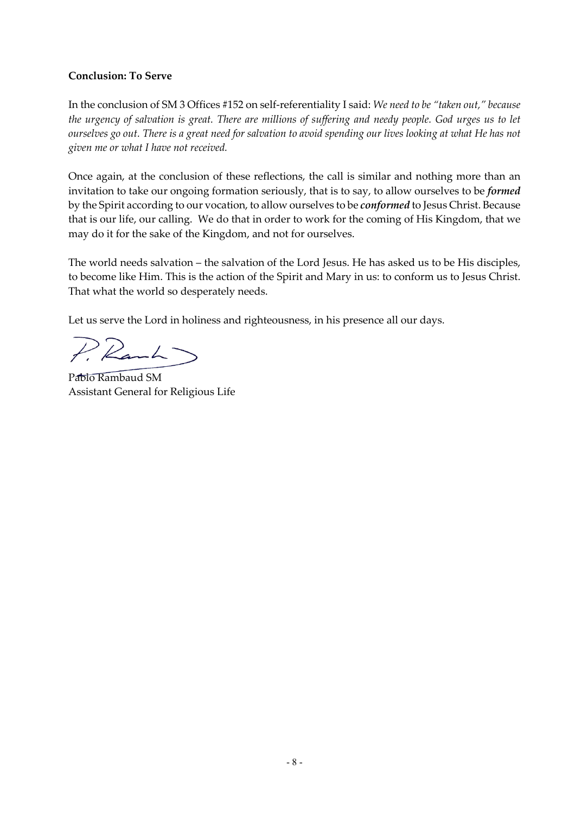#### **Conclusion: To Serve**

In the conclusion of SM 3 Offices #152 on self-referentiality I said: *We need to be "taken out," because the urgency of salvation is great. There are millions of suffering and needy people. God urges us to let ourselves go out. There is a great need for salvation to avoid spending our lives looking at what He has not given me or what I have not received.* 

Once again, at the conclusion of these reflections, the call is similar and nothing more than an invitation to take our ongoing formation seriously, that is to say, to allow ourselves to be *formed* by the Spirit according to our vocation, to allow ourselves to be *conformed* to Jesus Christ. Because that is our life, our calling. We do that in order to work for the coming of His Kingdom, that we may do it for the sake of the Kingdom, and not for ourselves.

The world needs salvation – the salvation of the Lord Jesus. He has asked us to be His disciples, to become like Him. This is the action of the Spirit and Mary in us: to conform us to Jesus Christ. That what the world so desperately needs.

Let us serve the Lord in holiness and righteousness, in his presence all our days.

 $PR$ 

Pablo Rambaud SM Assistant General for Religious Life